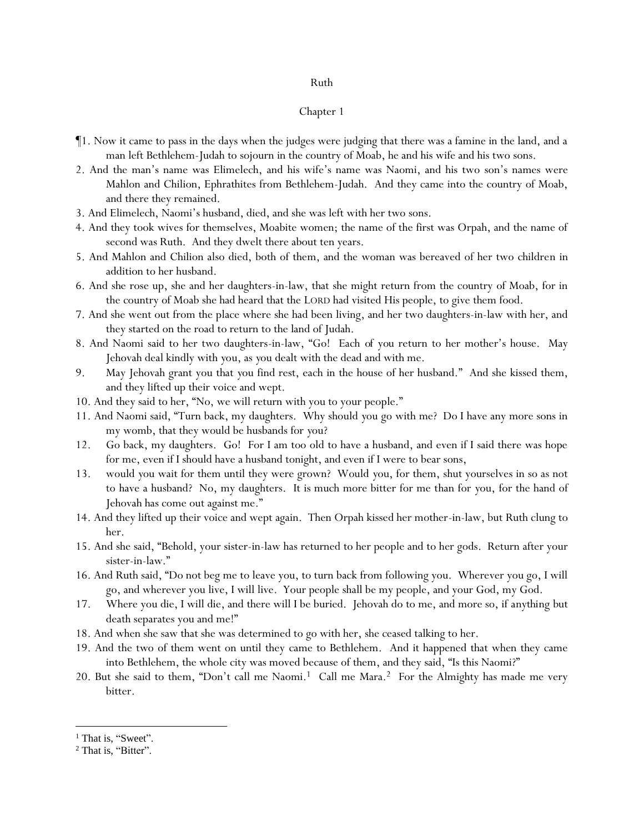## Ruth

### Chapter 1

- ¶1. Now it came to pass in the days when the judges were judging that there was a famine in the land, and a man left Bethlehem-Judah to sojourn in the country of Moab, he and his wife and his two sons.
- 2. And the man's name was Elimelech, and his wife's name was Naomi, and his two son's names were Mahlon and Chilion, Ephrathites from Bethlehem-Judah. And they came into the country of Moab, and there they remained.
- 3. And Elimelech, Naomi's husband, died, and she was left with her two sons.
- 4. And they took wives for themselves, Moabite women; the name of the first was Orpah, and the name of second was Ruth. And they dwelt there about ten years.
- 5. And Mahlon and Chilion also died, both of them, and the woman was bereaved of her two children in addition to her husband.
- 6. And she rose up, she and her daughters-in-law, that she might return from the country of Moab, for in the country of Moab she had heard that the LORD had visited His people, to give them food.
- 7. And she went out from the place where she had been living, and her two daughters-in-law with her, and they started on the road to return to the land of Judah.
- 8. And Naomi said to her two daughters-in-law, "Go! Each *of you* return to her mother's house. May Jehovah deal kindly with *y*ou, as *y*ou dealt with the dead and with me.
- 9. May Jehovah grant you that *y*ou find rest, each in the house of her husband." And she kissed them, and they lifted up their voice and wept.
- 10. And they said to her, "No, we will return with you to your people."
- 11. And Naomi said, "Turn back, my daughters. Why should *y*ou go with me? Do I have any more sons in my womb, that they would be husbands for *y*ou?
- 12. Go back, my daughters. Go! For I am too old to have a husband, and even if I said there was hope for me, even if I should have a husband tonight, and even if I were to bear sons,
- 13. would *y*ou wait for them until they were grown? Would *y*ou, for them, shut yourselves in so as not to have a husband? No, my daughters. It is much more bitter for me than for *y*ou, for the hand of Jehovah has come out against me."
- 14. And they lifted up their voice and wept again. Then Orpah kissed her mother-in-law, but Ruth clung to her.
- 15. And she said, "Behold, your sister-in-law has returned to her people and to her gods. Return after your sister-in-law."
- 16. And Ruth said, "Do not beg me to leave you, to turn back from following you. Wherever you go, I will go, and wherever you live, I will live. Your people shall be my people, and your God, my God.
- 17. Where you die, I will die, and there will I be buried. Jehovah do to me, and more so, if *anything but* death separates you and me!"
- 18. And when she saw that she was determined to go with her, she ceased talking to her.
- 19. And the two of them went on until they came to Bethlehem. And it happened that when they came into Bethlehem, the whole city was moved because of them, and they said, "Is this Naomi?"
- 20. But she said to them, "Don't call me Naomi.<sup>1</sup> Call me Mara.<sup>2</sup> For the Almighty has made me very bitter.

<sup>&</sup>lt;sup>1</sup> That is, "Sweet".

<sup>&</sup>lt;sup>2</sup> That is, "Bitter".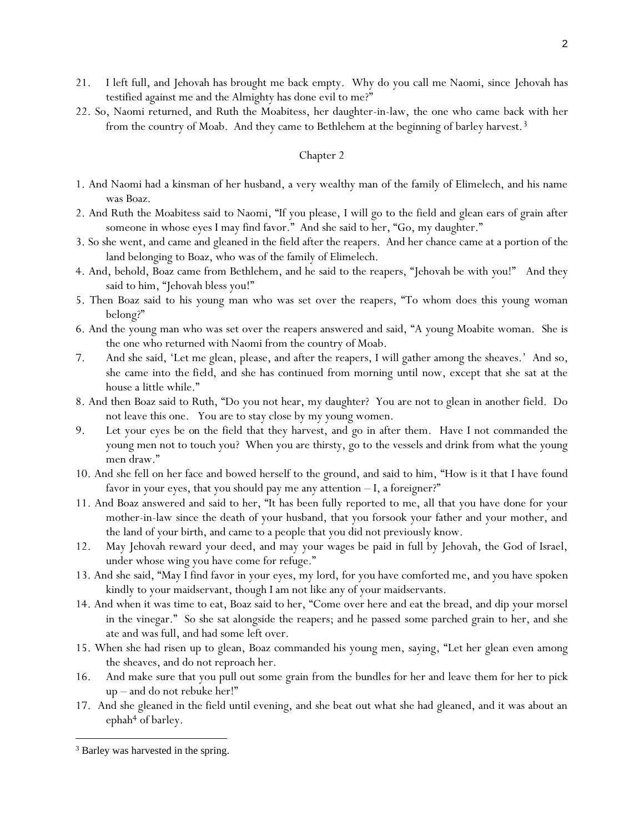- 21. I left full, and Jehovah has brought me back empty. Why do you call me Naomi, since Jehovah has testified against me and the Almighty has done evil to me?"
- 22. So, Naomi returned, and Ruth the Moabitess, her daughter-in-law, the one who came back with her from the country of Moab. And they came to Bethlehem at the beginning of barley harvest.<sup>3</sup>

## Chapter 2

- 1. And Naomi had a kinsman of her husband, a very wealthy man of the family of Elimelech, and his name was Boaz.
- 2. And Ruth the Moabitess said to Naomi, "If you please, I will go to the field and glean ears of grain after someone in whose eyes I may find favor." And she said to her, "Go, my daughter."
- 3. So she went, and came and gleaned in the field after the reapers. And her chance came at a portion of the land belonging to Boaz, who was of the family of Elimelech.
- 4. And, behold, Boaz came from Bethlehem, and he said to the reapers, "Jehovah be with *y*ou!" And they said to him, "Jehovah bless you!"
- 5. Then Boaz said to his young man who was set over the reapers, "To whom does this young woman belong?"
- 6. And the young man who was set over the reapers answered and said, "A young Moabite woman. She is the one who returned with Naomi from the country of Moab.
- 7. And she said, 'Let me glean, please, and after the reapers, I will gather among the sheaves.' And so, she came into *the field*, and she has continued from morning until now, except that she sat at the house a little while."
- 8. And then Boaz said to Ruth, "Do you not hear, my daughter? You are not to glean in another field. Do not leave this one. You are to stay close by my young women.
- 9. *Let* your eyes *be on* the field that they harvest, and go in after them. Have I not commanded the young men not to touch you? When you are thirsty, go to the vessels and drink from what the young men draw."
- 10. And she fell on her face and bowed herself to the ground, and said to him, "How is it that I have found favor in your eyes, that you should pay me any attention  $-I$ , a foreigner?"
- 11. And Boaz answered and said to her, "It has been fully reported to me, all that you have done for your mother-in-law since the death of your husband, that you forsook your father and your mother, and the land of your birth, and came to a people that you did not previously know.
- 12. May Jehovah reward your deed, and may your wages be paid in full by Jehovah, the God of Israel, under whose wing you have come for refuge."
- 13. And she said, "May I find favor in your eyes, my lord, for you have comforted me, and you have spoken kindly to your maidservant, though I am not like any of your maidservants.
- 14. And when it was time to eat, Boaz said to her, "Come over here and eat the bread, and dip your morsel in the vinegar." So she sat alongside the reapers; and he passed *some* parched grain to her, and she ate and was full, and had some left over.
- 15. When she had risen up to glean, Boaz commanded his young men, saying, "Let her glean even among the sheaves, and do not reproach her.
- 16. And make sure that you pull out some grain from the bundles for her and leave them for her to pick up – and do not rebuke her!"
- 17. And she gleaned in the field until evening, and she beat out what she had gleaned, and it was about an  $ephah<sup>4</sup>$  of barley.

<sup>&</sup>lt;sup>3</sup> Barley was harvested in the spring.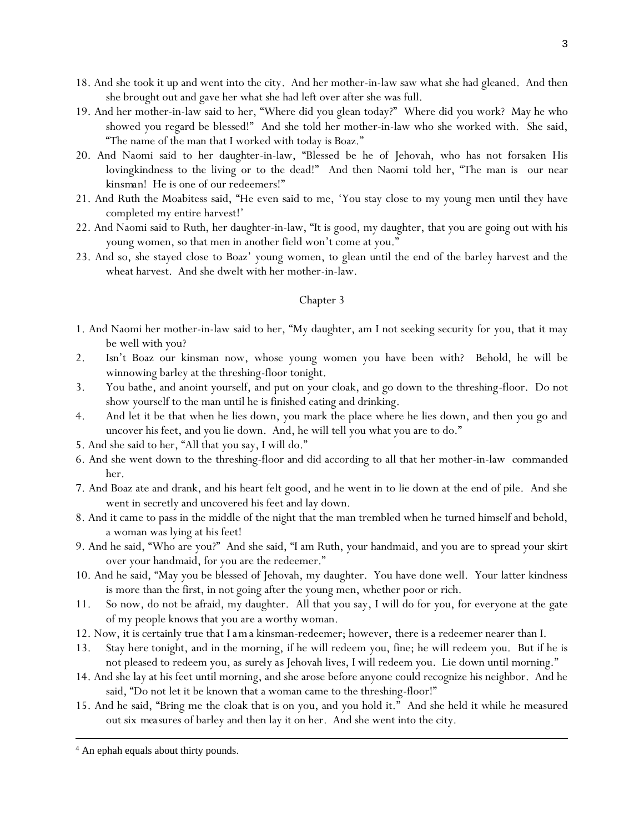- 18. And she took it up and went into the city. And her mother-in-law saw what she had gleaned. And then she brought out and gave her what she had left over after she was full.
- 19. And her mother-in-law said to her, "Where did you glean today?" Where did you work? May he who showed you regard be blessed!" And she told her mother-in-law who she worked with. She said, "The name of the man that I worked with today is Boaz."
- 20. And Naomi said to her daughter-in-law, "Blessed be he of Jehovah, who has not forsaken His lovingkindness to the living or to the dead!" And then Naomi told her, "The man is our near *kinsman*! He is one of our redeemers!"
- 21. And Ruth the Moabitess said, "He even said to me, 'You stay close to my young men until they have completed my entire harvest!'
- 22. And Naomi said to Ruth, her daughter-in-law, "It is good, my daughter, that you are going out with his young women, so that men in another field won't come at you."
- 23. And so, she stayed close to Boaz' young women, to glean until the end of the barley harvest and the wheat harvest. And she dwelt with her mother-in-law.

### Chapter 3

- 1. And Naomi her mother-in-law said to her, "My daughter, am I not seeking security for you, that it may be well with you?
- 2. Isn't Boaz our kinsman now, whose young women you have been with? Behold, he will be winnowing barley at the threshing-floor tonight.
- 3. You bathe, and anoint yourself, and put on your cloak, and go down to the threshing-floor. Do not show yourself to the man until he is finished eating and drinking.
- 4. And let it be that when he lies down, you mark the place where he lies down, and then you go and uncover his feet, and you lie down. And, he will tell you what you are to do."
- 5. And she said to her, "All that you say, I will do."
- 6. And she went down to the threshing-floor and did according to all that her mother-in-law commanded her.
- 7. And Boaz ate and drank, and his heart felt good, and he went in to lie down at the end of pile. And she went in secretly and uncovered his feet and lay down.
- 8. And it came to pass in the middle of the night that the man trembled when he turned himself and behold, a woman was lying at his feet!
- 9. And he said, "Who are you?" And she said, "I am Ruth, your handmaid, and you are to spread your skirt over your handmaid, for you are the redeemer."
- 10. And he said, "May you be blessed of Jehovah, my daughter. You have done well. Your latter kindness is more than the first, in not going after the young men, whether poor or rich.
- 11. So now, do not be afraid, my daughter. All that you say, I will do for you, for everyone at the gate of my people knows that you are a worthy woman.
- 12. Now, it is certainly true that *I am*a kinsman-redeemer; however, there is a redeemer nearer than I.
- 13. Stay *here* tonight, and in the morning, if he will redeem you, fine; he will redeem you. But if he is not pleased to redeem you, as *surely as* Jehovah lives, I will redeem you. Lie down until morning."
- 14. And she lay at his feet until morning, and she arose before anyone could recognize his neighbor. And he said, "Do not let it be known that a woman came to the threshing-floor!"
- 15. And he said, "Bring me the cloak that is on you, and you hold it." And she held it while he measured out six *measures* of barley and then lay it on her. And she went into the city.

<sup>4</sup> An ephah equals about thirty pounds.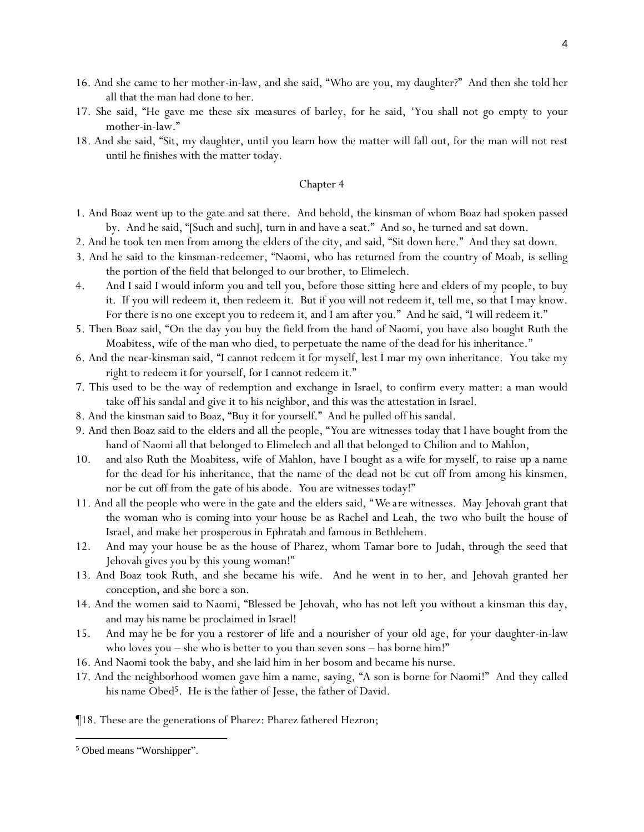- 16. And she came to her mother-in-law, and she said, "Who are you, my daughter?" And then she told her all that the man had done to her.
- 17. She said, "He gave me these six *measures* of barley, for he said, 'You shall not go empty to your mother-in-law."
- 18. And she said, "Sit, my daughter, until you learn how the matter will fall out, for the man will not rest until he finishes with the matter today.

# Chapter 4

- 1. And Boaz went up to the gate and sat there. And behold, the kinsman of whom Boaz had spoken passed by. And he said, "[Such and such], turn in and have a seat." And so, he turned and sat down.
- 2. And he took ten men from among the elders of the city, and said, "Sit down here." And they sat down.
- 3. And he said to the kinsman-redeemer, "Naomi, who has returned from the country of Moab, is selling the portion of the field that belonged to our brother, to Elimelech.
- 4. And I said I would inform you and tell you, before those sitting *here* and elders of my people, to buy *it*. If you will redeem *it*, then redeem *it*. But if you will not redeem *it*, tell me, so that I may know. For there is no one except you to redeem *it*, and I am after you." And he said, "I will redeem *it*."
- 5. Then Boaz said, "On the day you buy the field from the hand of Naomi, you have also bought Ruth the Moabitess, wife of the man who died, to perpetuate the name of the dead for his inheritance."
- 6. And the near-kinsman said, "I cannot redeem it for myself, lest I mar my own inheritance. You take my right to redeem *it* for yourself, for I cannot redeem *it*."
- 7. This used to be the way of redemption and exchange in Israel, to confirm every matter: a man would take off his sandal and give it to his neighbor, and this was the attestation in Israel.
- 8. And the kinsman said to Boaz, "Buy it for yourself." And he pulled off his sandal.
- 9. And then Boaz said to the elders and all the people, "*Y*ou are witnesses today that I have bought from the hand of Naomi all that belonged to Elimelech and all that belonged to Chilion and to Mahlon,
- 10. and also Ruth the Moabitess, wife of Mahlon, have I bought as a wife for myself, to raise up a name for the dead for his inheritance, that the name of the dead not be cut off from among his kinsmen, nor *be cut off* from the gate of his abode. *Y*ou are witnesses today!"
- 11. And all the people who were in the gate and the elders said, "*We are* witnesses. May Jehovah grant that the woman who is coming into your house be as Rachel and Leah, the two who built the house of Israel, and make *her* prosperous in Ephratah and famous in Bethlehem.
- 12. And may your house be as the house of Pharez, whom Tamar bore to Judah, through the seed that Jehovah gives you by this young woman!"
- 13. And Boaz took Ruth, and she became his wife. And he went in to her, and Jehovah granted her conception, and she bore a son.
- 14. And the women said to Naomi, "Blessed be Jehovah, who has not left you without a kinsman this day, and may his name be proclaimed in Israel!
- 15. And may he be for you a restorer of life and a nourisher of your old age, for your daughter-in-law who loves you – she who is better to you than seven sons – has borne him!"
- 16. And Naomi took the baby, and she laid him in her bosom and became his nurse.
- 17. And the neighborhood women gave him a name, saying, "A son is borne for Naomi!" And they called his name Obed<sup>5</sup>. He is the father of Jesse, the father of David.

¶18. These are the generations of Pharez: Pharez fathered Hezron;

<sup>5</sup> Obed means "Worshipper".